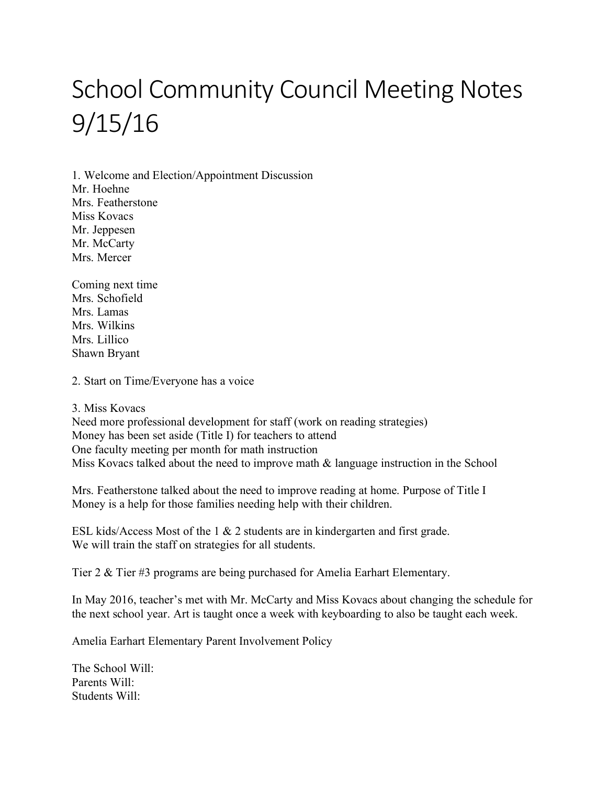## School Community Council Meeting Notes 9/15/16

1. Welcome and Election/Appointment Discussion Mr. Hoehne Mrs. Featherstone Miss Kovacs Mr. Jeppesen Mr. McCarty Mrs. Mercer

Coming next time Mrs. Schofield Mrs. Lamas Mrs. Wilkins Mrs. Lillico Shawn Bryant

2. Start on Time/Everyone has a voice

## 3. Miss Kovacs

Need more professional development for staff (work on reading strategies) Money has been set aside (Title I) for teachers to attend One faculty meeting per month for math instruction Miss Kovacs talked about the need to improve math  $\&$  language instruction in the School

Mrs. Featherstone talked about the need to improve reading at home. Purpose of Title I Money is a help for those families needing help with their children.

ESL kids/Access Most of the 1 & 2 students are in kindergarten and first grade. We will train the staff on strategies for all students.

Tier 2 & Tier #3 programs are being purchased for Amelia Earhart Elementary.

In May 2016, teacher's met with Mr. McCarty and Miss Kovacs about changing the schedule for the next school year. Art is taught once a week with keyboarding to also be taught each week.

Amelia Earhart Elementary Parent Involvement Policy

The School Will: Parents Will: Students Will: